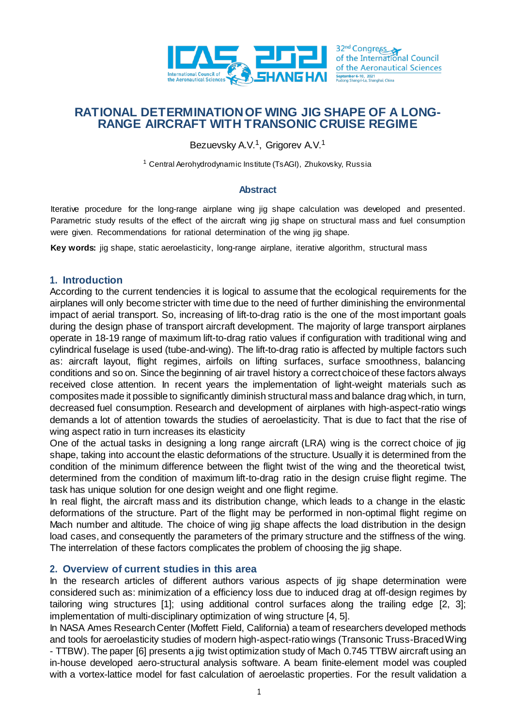

# **RATIONAL DETERMINATION OF WING JIG SHAPE OF A LONG-RANGE AIRCRAFT WITH TRANSONIC CRUISE REGIME**

Bezuevsky A.V.<sup>1</sup>, Grigorev A.V.<sup>1</sup>

<sup>1</sup> Central Aerohydrodynamic Institute (TsAGI), Zhukovsky, Russia

#### **Abstract**

Iterative procedure for the long-range airplane wing jig shape calculation was developed and presented. Parametric study results of the effect of the aircraft wing jig shape on structural mass and fuel consumption were given. Recommendations for rational determination of the wing jig shape.

**Key words:** jig shape, static aeroelasticity, long-range airplane, iterative algorithm, structural mass

#### **1. Introduction**

According to the current tendencies it is logical to assume that the ecological requirements for the airplanes will only become stricter with time due to the need of further diminishing the environmental impact of aerial transport. So, increasing of lift-to-drag ratio is the one of the most important goals during the design phase of transport aircraft development. The majority of large transport airplanes operate in 18-19 range of maximum lift-to-drag ratio values if configuration with traditional wing and cylindrical fuselage is used (tube-and-wing). The lift-to-drag ratio is affected by multiple factors such as: aircraft layout, flight regimes, airfoils on lifting surfaces, surface smoothness, balancing conditions and so on. Since the beginning of air travel history a correct choiceof these factors always received close attention. In recent years the implementation of light-weight materials such as composites made it possible to significantly diminish structural mass and balance drag which, in turn, decreased fuel consumption. Research and development of airplanes with high-aspect-ratio wings demands a lot of attention towards the studies of aeroelasticity. That is due to fact that the rise of wing aspect ratio in turn increases its elasticity

One of the actual tasks in designing a long range aircraft (LRA) wing is the correct choice of jig shape, taking into account the elastic deformations of the structure. Usually it is determined from the condition of the minimum difference between the flight twist of the wing and the theoretical twist, determined from the condition of maximum lift-to-drag ratio in the design cruise flight regime. The task has unique solution for one design weight and one flight regime.

In real flight, the aircraft mass and its distribution change, which leads to a change in the elastic deformations of the structure. Part of the flight may be performed in non-optimal flight regime on Mach number and altitude. The choice of wing jig shape affects the load distribution in the design load cases, and consequently the parameters of the primary structure and the stiffness of the wing. The interrelation of these factors complicates the problem of choosing the jig shape.

### **2. Overview of current studies in this area**

In the research articles of different authors various aspects of jig shape determination were considered such as: minimization of a efficiency loss due to induced drag at off-design regimes by tailoring wing structures [1]; using additional control surfaces along the trailing edge [2, 3]; implementation of multi-disciplinary optimization of wing structure [4, 5].

In NASA Ames Research Center (Moffett Field, California) a team of researchers developed methods and tools for aeroelasticity studies of modern high-aspect-ratio wings (Transonic Truss-Braced Wing - TTBW). The paper [6] presents a jig twist optimization study of Mach 0.745 TTBW aircraft using an in-house developed aero-structural analysis software. A beam finite-element model was coupled with a vortex-lattice model for fast calculation of aeroelastic properties. For the result validation a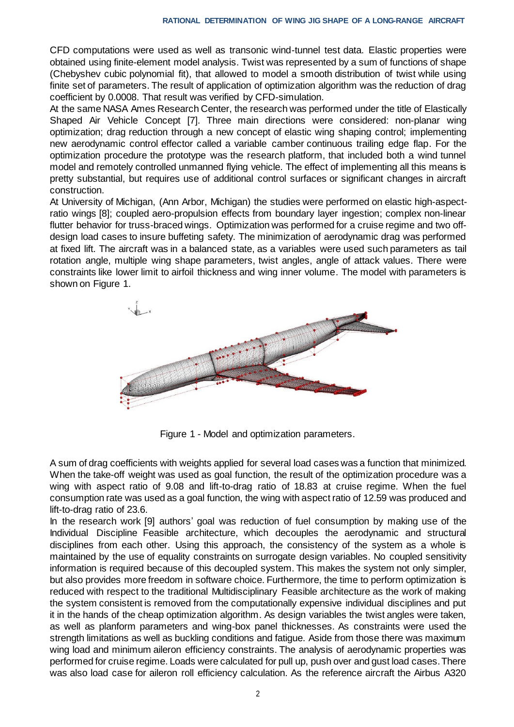CFD computations were used as well as transonic wind-tunnel test data. Elastic properties were obtained using finite-element model analysis. Twist was represented by a sum of functions of shape (Chebyshev cubic polynomial fit), that allowed to model a smooth distribution of twist while using finite set of parameters. The result of application of optimization algorithm was the reduction of drag coefficient by 0.0008. That result was verified by CFD-simulation.

At the same NASA Ames Research Center, the research was performed under the title of Elastically Shaped Air Vehicle Concept [7]. Three main directions were considered: non-planar wing optimization; drag reduction through a new concept of elastic wing shaping control; implementing new aerodynamic control effector called a variable camber continuous trailing edge flap. For the optimization procedure the prototype was the research platform, that included both a wind tunnel model and remotely controlled unmanned flying vehicle. The effect of implementing all this means is pretty substantial, but requires use of additional control surfaces or significant changes in aircraft construction.

At University of Michigan, (Ann Arbor, Michigan) the studies were performed on elastic high-aspectratio wings [8]; coupled aero-propulsion effects from boundary layer ingestion; complex non-linear flutter behavior for truss-braced wings. Optimization was performed for a cruise regime and two offdesign load cases to insure buffeting safety. The minimization of aerodynamic drag was performed at fixed lift. The aircraft was in a balanced state, as a variables were used such parameters as tail rotation angle, multiple wing shape parameters, twist angles, angle of attack values. There were constraints like lower limit to airfoil thickness and wing inner volume. The model with parameters is shown on Figure 1.



Figure 1 - Model and optimization parameters.

A sum of drag coefficients with weights applied for several load cases was a function that minimized. When the take-off weight was used as goal function, the result of the optimization procedure was a wing with aspect ratio of 9.08 and lift-to-drag ratio of 18.83 at cruise regime. When the fuel consumption rate was used as a goal function, the wing with aspect ratio of 12.59 was produced and lift-to-drag ratio of 23.6.

In the research work [9] authors' goal was reduction of fuel consumption by making use of the Individual Discipline Feasible architecture, which decouples the aerodynamic and structural disciplines from each other. Using this approach, the consistency of the system as a whole is maintained by the use of equality constraints on surrogate design variables. No coupled sensitivity information is required because of this decoupled system. This makes the system not only simpler, but also provides more freedom in software choice. Furthermore, the time to perform optimization is reduced with respect to the traditional Multidisciplinary Feasible architecture as the work of making the system consistent is removed from the computationally expensive individual disciplines and put it in the hands of the cheap optimization algorithm. As design variables the twist angles were taken, as well as planform parameters and wing-box panel thicknesses. As constraints were used the strength limitations as well as buckling conditions and fatigue. Aside from those there was maximum wing load and minimum aileron efficiency constraints. The analysis of aerodynamic properties was performed for cruise regime. Loads were calculated for pull up, push over and gust load cases. There was also load case for aileron roll efficiency calculation. As the reference aircraft the Airbus A320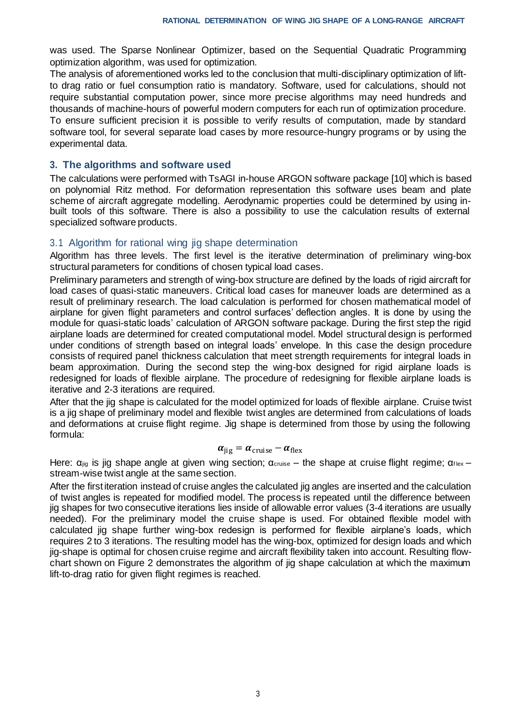was used. The Sparse Nonlinear Optimizer, based on the Sequential Quadratic Programming optimization algorithm, was used for optimization.

The analysis of aforementioned works led to the conclusion that multi-disciplinary optimization of liftto drag ratio or fuel consumption ratio is mandatory. Software, used for calculations, should not require substantial computation power, since more precise algorithms may need hundreds and thousands of machine-hours of powerful modern computers for each run of optimization procedure. To ensure sufficient precision it is possible to verify results of computation, made by standard software tool, for several separate load cases by more resource-hungry programs or by using the experimental data.

### **3. The algorithms and software used**

The calculations were performed with TsAGI in-house ARGON software package [10] which is based on polynomial Ritz method. For deformation representation this software uses beam and plate scheme of aircraft aggregate modelling. Aerodynamic properties could be determined by using inbuilt tools of this software. There is also a possibility to use the calculation results of external specialized software products.

# 3.1 Algorithm for rational wing jig shape determination

Algorithm has three levels. The first level is the iterative determination of preliminary wing-box structural parameters for conditions of chosen typical load cases.

Preliminary parameters and strength of wing-box structure are defined by the loads of rigid aircraft for load cases of quasi-static maneuvers. Critical load cases for maneuver loads are determined as a result of preliminary research. The load calculation is performed for chosen mathematical model of airplane for given flight parameters and control surfaces' deflection angles. It is done by using the module for quasi-static loads' calculation of ARGON software package. During the first step the rigid airplane loads are determined for created computational model. Model structural design is performed under conditions of strength based on integral loads' envelope. In this case the design procedure consists of required panel thickness calculation that meet strength requirements for integral loads in beam approximation. During the second step the wing-box designed for rigid airplane loads is redesigned for loads of flexible airplane. The procedure of redesigning for flexible airplane loads is iterative and 2-3 iterations are required.

After that the jig shape is calculated for the model optimized for loads of flexible airplane. Cruise twist is a jig shape of preliminary model and flexible twist angles are determined from calculations of loads and deformations at cruise flight regime. Jig shape is determined from those by using the following formula:

$$
\alpha_{\rm jig} = \alpha_{\rm cruise} - \alpha_{\rm flex}
$$

Here:  $\alpha_{jig}$  is jig shape angle at given wing section;  $\alpha_{critise}$  – the shape at cruise flight regime;  $\alpha_{flex}$  – stream-wise twist angle at the same section.

After the firstiteration instead of cruise angles the calculated jig angles are inserted and the calculation of twist angles is repeated for modified model. The process is repeated until the difference between jig shapes for two consecutive iterations lies inside of allowable error values (3-4 iterations are usually needed). For the preliminary model the cruise shape is used. For obtained flexible model with calculated jig shape further wing-box redesign is performed for flexible airplane's loads, which requires 2 to 3 iterations. The resulting model has the wing-box, optimized for design loads and which jig-shape is optimal for chosen cruise regime and aircraft flexibility taken into account. Resulting flowchart shown on Figure 2 demonstrates the algorithm of jig shape calculation at which the maximum lift-to-drag ratio for given flight regimes is reached.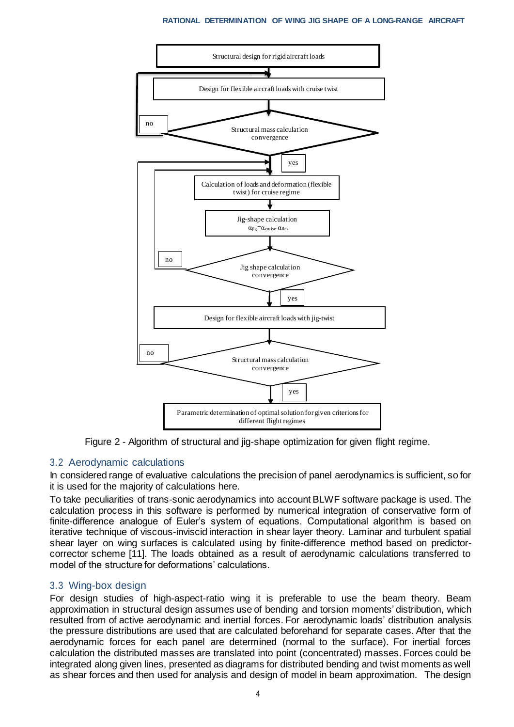

Figure 2 - Algorithm of structural and jig-shape optimization for given flight regime.

# 3.2 Aerodynamic calculations

In considered range of evaluative calculations the precision of panel aerodynamics is sufficient, so for it is used for the majority of calculations here.

To take peculiarities of trans-sonic aerodynamics into account BLWF software package is used. The calculation process in this software is performed by numerical integration of conservative form of finite-difference analogue of Euler's system of equations. Computational algorithm is based on iterative technique of viscous-inviscid interaction in shear layer theory. Laminar and turbulent spatial shear layer on wing surfaces is calculated using by finite-difference method based on predictorcorrector scheme [11]. The loads obtained as a result of aerodynamic calculations transferred to model of the structure for deformations' calculations.

# 3.3 Wing-box design

For design studies of high-aspect-ratio wing it is preferable to use the beam theory. Beam approximation in structural design assumes use of bending and torsion moments' distribution, which resulted from of active aerodynamic and inertial forces. For aerodynamic loads' distribution analysis the pressure distributions are used that are calculated beforehand for separate cases. After that the aerodynamic forces for each panel are determined (normal to the surface). For inertial forces calculation the distributed masses are translated into point (concentrated) masses. Forces could be integrated along given lines, presented as diagrams for distributed bending and twist moments as well as shear forces and then used for analysis and design of model in beam approximation. The design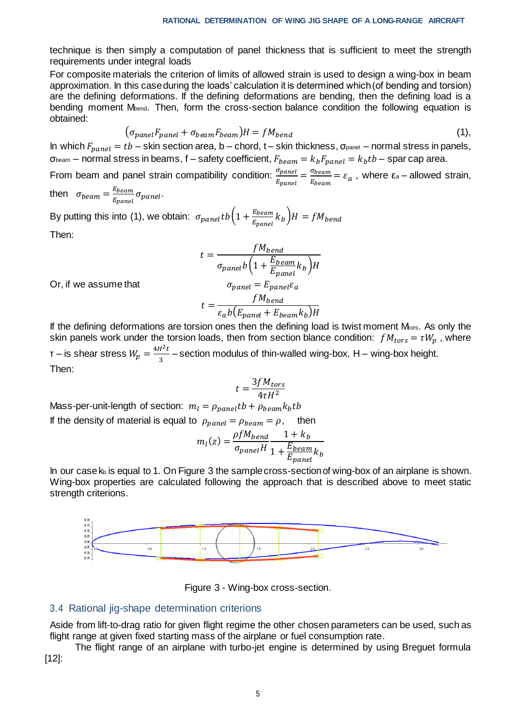technique is then simply a computation of panel thickness that is sufficient to meet the strength requirements under integral loads

For composite materials the criterion of limits of allowed strain is used to design a wing-box in beam approximation. In this case during the loads' calculation it is determined which (of bending and torsion) are the defining deformations. If the defining deformations are bending, then the defining load is a bending moment M<sub>bend</sub>. Then, form the cross-section balance condition the following equation is obtained:

$$
(\sigma_{panel}F_{panel} + \sigma_{beam}F_{beam})H = fM_{bend}
$$
\n(1),

In which  $F_{panel} = tb -$  skin section area, b – chord, t – skin thickness,  $\sigma_{panel}$  – normal stress in panels, σ<sub>beam</sub> – normal stress in beams, f – safety coefficient,  $F_{beam} = k_b F_{panel} = k_b tb$  – spar cap area.

From beam and panel strain compatibility condition:  $\frac{\sigma_{panel}}{E}$  $\frac{\sigma_{panel}}{E_{panel}} = \frac{\sigma_{beam}}{E_{beam}}$  $\frac{\sigma_{beam}}{\sigma_{beam}} = \varepsilon_a$ , where  $\varepsilon_a$  – allowed strain,

then  $\sigma_{beam} = \frac{E_{beam}}{E_{beam}}$  $\frac{E_{beam}}{E_{panel}}$   $\sigma_{panel}$  .

By putting this into (1), we obtain:  $\sigma_{panel}tb\Big(1 + \frac{E_{beam}}{E_{beam}}\Big)$  $\frac{E_{beam}}{E_{panel}}$   $k_b$   $\bigg)$   $H = f M_{bend}$ 

Then:

$$
t = \frac{fM_{bend}}{\sigma_{panel}b\left(1 + \frac{E_{beam}}{E_{panel}}k_b\right)H}
$$

$$
\sigma_{panel} = E_{panel}\varepsilon_a
$$

Or, if we assume that

$$
t = \frac{fM_{bend}}{\varepsilon_a b(E_{panel} + E_{beam}k_b)H}
$$

If the defining deformations are torsion ones then the defining load is twist moment M<sub>tors</sub>. As only the skin panels work under the torsion loads, then from section blance condition:  $fM_{tors} = \tau W_p$ , where  $\tau$  – is shear stress  $W_p = \frac{4H^2t}{3}$  $\frac{1}{3}$  – section modulus of thin-walled wing-box, H – wing-box height. Then:

$$
t = \frac{3fM_{tors}}{4\tau H^2}
$$

Mass-per-unit-length of section:  $m_l = \rho_{panel} tb + \rho_{beam} k_b tb$ 

If the density of material is equal to  $\rho_{panel} = \rho_{beam} = \rho$ , then

$$
m_l(z) = \frac{\rho f M_{bend}}{\sigma_{panel} H} \frac{1 + k_b}{1 + \frac{E_{beam}}{E_{panel}} k_b}
$$

In our case  $k_b$  is equal to 1. On Figure 3 the sample cross-section of wing-box of an airplane is shown. Wing-box properties are calculated following the approach that is described above to meet static strength criterions.





#### 3.4 Rational jig-shape determination criterions

Aside from lift-to-drag ratio for given flight regime the other chosen parameters can be used, such as flight range at given fixed starting mass of the airplane or fuel consumption rate.

The flight range of an airplane with turbo-jet engine is determined by using Breguet formula [12]: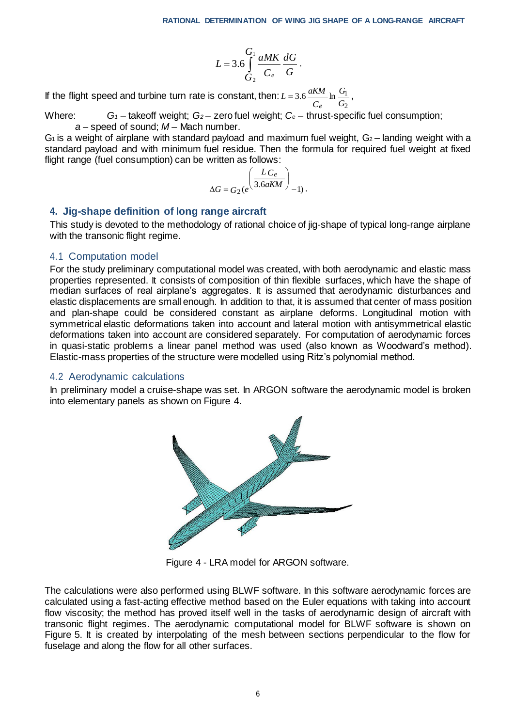*C*

*e*

2

$$
L=3.6\int_{G_2}^{G_1} \frac{aMK}{C_e}\frac{dG}{G}.
$$

If the flight speed and turbine turn rate is constant, then:  $3.6 \frac{\text{unm}}{\text{ln}} \ln \frac{10}{10}$ *G G*  $L = 3.6 \frac{aKM}{m}$  $= 3.6 \frac{u N m}{m} \ln \frac{N}{a}$ ,

Where: *G<sup>1</sup> –* takeoff weight; *G<sup>2</sup>* – zero fuel weight; *C<sup>e</sup>* – thrust-specific fuel consumption; *a* – speed of sound; *M* – Mach number.

 $G_1$  is a weight of airplane with standard payload and maximum fuel weight,  $G_2$  – landing weight with a standard payload and with minimum fuel residue. Then the formula for required fuel weight at fixed flight range (fuel consumption) can be written as follows:

$$
\Delta G = G_2(e^{\left(\frac{LC_e}{3.6aKM}\right)}-1).
$$

### **4. Jig-shape definition of long range aircraft**

This study is devoted to the methodology of rational choice of jig-shape of typical long-range airplane with the transonic flight regime.

### 4.1 Computation model

For the study preliminary computational model was created, with both aerodynamic and elastic mass properties represented. It consists of composition of thin flexible surfaces, which have the shape of median surfaces of real airplane's aggregates. It is assumed that aerodynamic disturbances and elastic displacements are small enough. In addition to that, it is assumed that center of mass position and plan-shape could be considered constant as airplane deforms. Longitudinal motion with symmetrical elastic deformations taken into account and lateral motion with antisymmetrical elastic deformations taken into account are considered separately. For computation of aerodynamic forces in quasi-static problems a linear panel method was used (also known as Woodward's method). Elastic-mass properties of the structure were modelled using Ritz's polynomial method.

### 4.2 Aerodynamic calculations

In preliminary model a cruise-shape was set. In ARGON software the aerodynamic model is broken into elementary panels as shown on Figure 4.



Figure 4 - LRA model for ARGON software.

The calculations were also performed using BLWF software. In this software aerodynamic forces are calculated using a fast-acting effective method based on the Euler equations with taking into account flow viscosity; the method has proved itself well in the tasks of aerodynamic design of aircraft with transonic flight regimes. The aerodynamic computational model for BLWF software is shown on Figure 5. It is created by interpolating of the mesh between sections perpendicular to the flow for fuselage and along the flow for all other surfaces.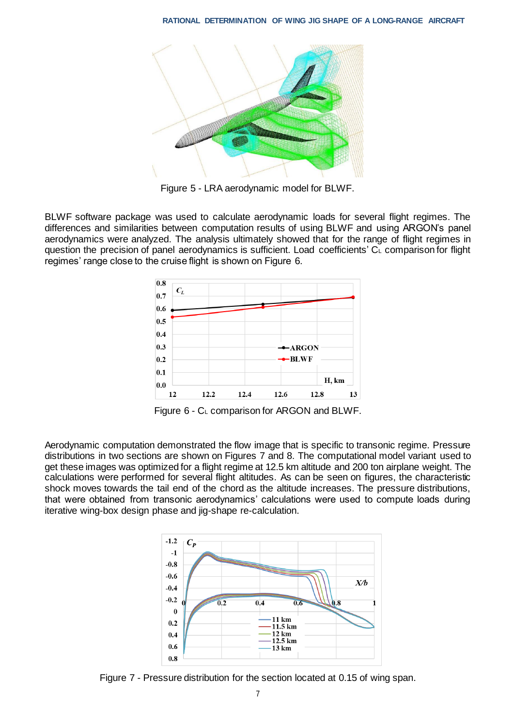

Figure 5 - LRA aerodynamic model for BLWF.

BLWF software package was used to calculate aerodynamic loads for several flight regimes. The differences and similarities between computation results of using BLWF and using ARGON's panel aerodynamics were analyzed. The analysis ultimately showed that for the range of flight regimes in question the precision of panel aerodynamics is sufficient. Load coefficients' C<sup>L</sup> comparison for flight regimes' range close to the cruise flight is shown on Figure 6.



Figure 6 - C<sup>L</sup> comparison for ARGON and BLWF.

Aerodynamic computation demonstrated the flow image that is specific to transonic regime. Pressure distributions in two sections are shown on Figures 7 and 8. The computational model variant used to get these images was optimized for a flight regime at 12.5 km altitude and 200 ton airplane weight. The calculations were performed for several flight altitudes. As can be seen on figures, the characteristic shock moves towards the tail end of the chord as the altitude increases. The pressure distributions, that were obtained from transonic aerodynamics' calculations were used to compute loads during iterative wing-box design phase and jig-shape re-calculation.



Figure 7 - Pressure distribution for the section located at 0.15 of wing span.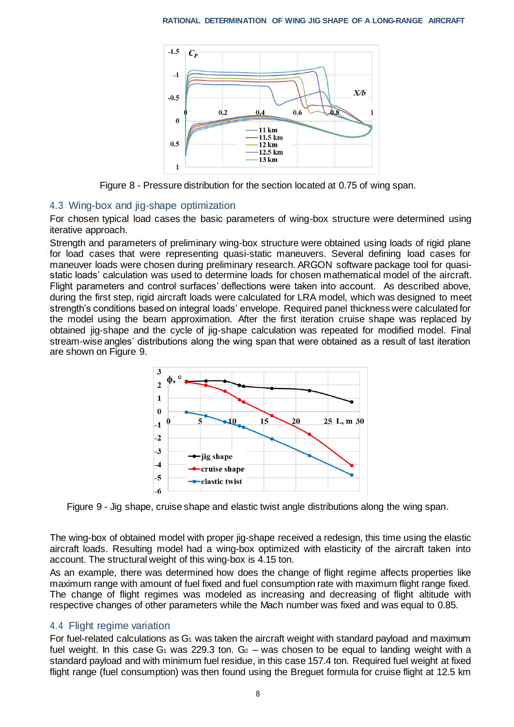

Figure 8 - Pressure distribution for the section located at 0.75 of wing span.

### 4.3 Wing-box and jig-shape optimization

For chosen typical load cases the basic parameters of wing-box structure were determined using iterative approach.

Strength and parameters of preliminary wing-box structure were obtained using loads of rigid plane for load cases that were representing quasi-static maneuvers. Several defining load cases for maneuver loads were chosen during preliminary research. ARGON software package tool for quasistatic loads' calculation was used to determine loads for chosen mathematical model of the aircraft. Flight parameters and control surfaces' deflections were taken into account. As described above, during the first step, rigid aircraft loads were calculated for LRA model, which was designed to meet strength's conditions based on integral loads' envelope. Required panel thickness were calculated for the model using the beam approximation. After the first iteration cruise shape was replaced by obtained jig-shape and the cycle of jig-shape calculation was repeated for modified model. Final stream-wise angles' distributions along the wing span that were obtained as a result of last iteration are shown on Figure 9.



Figure 9 - Jig shape, cruise shape and elastic twist angle distributions along the wing span.

The wing-box of obtained model with proper jig-shape received a redesign, this time using the elastic aircraft loads. Resulting model had a wing-box optimized with elasticity of the aircraft taken into account. The structural weight of this wing-box is 4.15 ton.

As an example, there was determined how does the change of flight regime affects properties like maximum range with amount of fuel fixed and fuel consumption rate with maximum flight range fixed. The change of flight regimes was modeled as increasing and decreasing of flight altitude with respective changes of other parameters while the Mach number was fixed and was equal to 0.85.

# 4.4 Flight regime variation

For fuel-related calculations as  $G_1$  was taken the aircraft weight with standard payload and maximum fuel weight. In this case G<sub>1</sub> was 229.3 ton. G<sub>2</sub> – was chosen to be equal to landing weight with a standard payload and with minimum fuel residue, in this case 157.4 ton. Required fuel weight at fixed flight range (fuel consumption) was then found using the Breguet formula for cruise flight at 12.5 km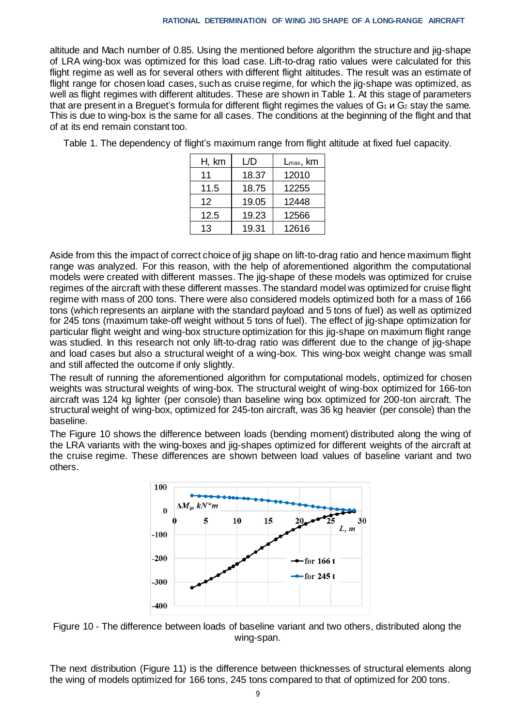altitude and Mach number of 0.85. Using the mentioned before algorithm the structure and jig-shape of LRA wing-box was optimized for this load case. Lift-to-drag ratio values were calculated for this flight regime as well as for several others with different flight altitudes. The result was an estimate of flight range for chosen load cases, such as cruise regime, for which the jig-shape was optimized, as well as flight regimes with different altitudes. These are shown in Table 1. At this stage of parameters that are present in a Breguet's formula for different flight regimes the values of  $G_1$   $\mu$   $G_2$  stay the same. This is due to wing-box is the same for all cases. The conditions at the beginning of the flight and that of at its end remain constant too.

Table 1. The dependency of flight's maximum range from flight altitude at fixed fuel capacity.

| H, km | L/D   | $L_{\text{max}}$ , km |
|-------|-------|-----------------------|
| 11    | 18.37 | 12010                 |
| 11.5  | 18.75 | 12255                 |
| 12    | 19.05 | 12448                 |
| 12.5  | 19.23 | 12566                 |
| 13    | 19.31 | 12616                 |

Aside from this the impact of correct choice of jig shape on lift-to-drag ratio and hence maximum flight range was analyzed. For this reason, with the help of aforementioned algorithm the computational models were created with different masses. The jig-shape of these models was optimized for cruise regimes of the aircraft with these different masses. The standard model was optimized for cruise flight regime with mass of 200 tons. There were also considered models optimized both for a mass of 166 tons (which represents an airplane with the standard payload and 5 tons of fuel) as well as optimized for 245 tons (maximum take-off weight without 5 tons of fuel). The effect of jig-shape optimization for particular flight weight and wing-box structure optimization for this jig-shape on maximum flight range was studied. In this research not only lift-to-drag ratio was different due to the change of jig-shape and load cases but also a structural weight of a wing-box. This wing-box weight change was small and still affected the outcome if only slightly.

The result of running the aforementioned algorithm for computational models, optimized for chosen weights was structural weights of wing-box. The structural weight of wing-box optimized for 166-ton aircraft was 124 kg lighter (per console) than baseline wing box optimized for 200-ton aircraft. The structural weight of wing-box, optimized for 245-ton aircraft, was 36 kg heavier (per console) than the baseline.

The Figure 10 shows the difference between loads (bending moment) distributed along the wing of the LRA variants with the wing-boxes and jig-shapes optimized for different weights of the aircraft at the cruise regime. These differences are shown between load values of baseline variant and two others.



Figure 10 - The difference between loads of baseline variant and two others, distributed along the wing-span.

The next distribution (Figure 11) is the difference between thicknesses of structural elements along the wing of models optimized for 166 tons, 245 tons compared to that of optimized for 200 tons.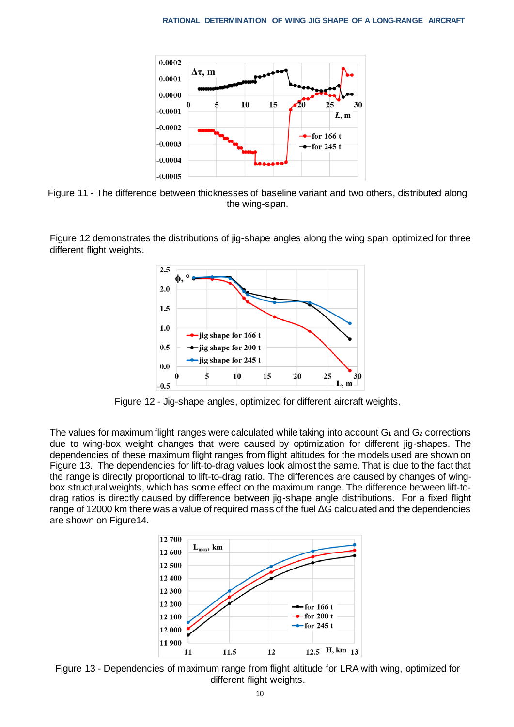

Figure 11 - The difference between thicknesses of baseline variant and two others, distributed along the wing-span.

Figure 12 demonstrates the distributions of jig-shape angles along the wing span, optimized for three different flight weights.



Figure 12 - Jig-shape angles, optimized for different aircraft weights.

The values for maximum flight ranges were calculated while taking into account  $G_1$  and  $G_2$  corrections due to wing-box weight changes that were caused by optimization for different jig-shapes. The dependencies of these maximum flight ranges from flight altitudes for the models used are shown on Figure 13. The dependencies for lift-to-drag values look almost the same. That is due to the fact that the range is directly proportional to lift-to-drag ratio. The differences are caused by changes of wingbox structural weights, which has some effect on the maximum range. The difference between lift-todrag ratios is directly caused by difference between jig-shape angle distributions. For a fixed flight range of 12000 km there was a value of required mass of the fuel ΔG calculated and the dependencies are shown on Figure14.



Figure 13 - Dependencies of maximum range from flight altitude for LRA with wing, optimized for different flight weights.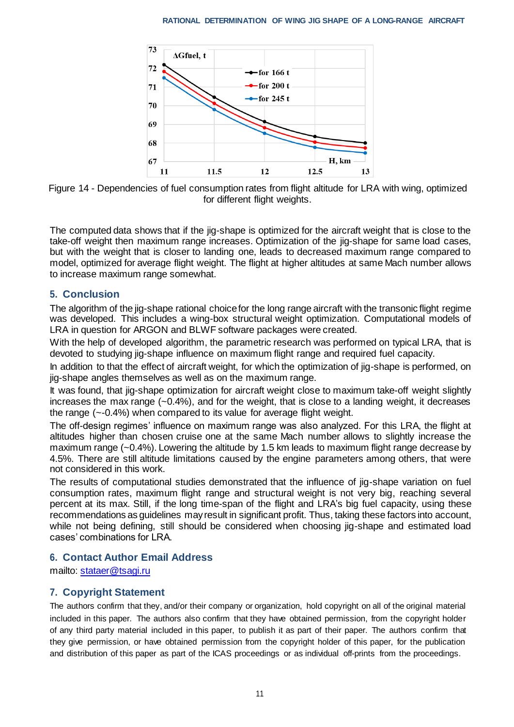

Figure 14 - Dependencies of fuel consumption rates from flight altitude for LRA with wing, optimized for different flight weights.

The computed data shows that if the jig-shape is optimized for the aircraft weight that is close to the take-off weight then maximum range increases. Optimization of the jig-shape for same load cases, but with the weight that is closer to landing one, leads to decreased maximum range compared to model, optimized for average flight weight. The flight at higher altitudes at same Mach number allows to increase maximum range somewhat.

# **5. Conclusion**

The algorithm of the jig-shape rational choice for the long range aircraft with the transonic flight regime was developed. This includes a wing-box structural weight optimization. Computational models of LRA in question for ARGON and BLWF software packages were created.

With the help of developed algorithm, the parametric research was performed on typical LRA, that is devoted to studying jig-shape influence on maximum flight range and required fuel capacity.

In addition to that the effect of aircraft weight, for which the optimization of jig-shape is performed, on jig-shape angles themselves as well as on the maximum range.

It was found, that jig-shape optimization for aircraft weight close to maximum take-off weight slightly increases the max range (~0.4%), and for the weight, that is close to a landing weight, it decreases the range (~-0.4%) when compared to its value for average flight weight.

The off-design regimes' influence on maximum range was also analyzed. For this LRA, the flight at altitudes higher than chosen cruise one at the same Mach number allows to slightly increase the maximum range (~0.4%). Lowering the altitude by 1.5 km leads to maximum flight range decrease by 4.5%. There are still altitude limitations caused by the engine parameters among others, that were not considered in this work.

The results of computational studies demonstrated that the influence of jig-shape variation on fuel consumption rates, maximum flight range and structural weight is not very big, reaching several percent at its max. Still, if the long time-span of the flight and LRA's big fuel capacity, using these recommendations as guidelines mayresult in significant profit. Thus, taking these factors into account, while not being defining, still should be considered when choosing jig-shape and estimated load cases' combinations for LRA.

# **6. Contact Author Email Address**

mailto: stataer@tsagi.ru

# **7. Copyright Statement**

The authors confirm that they, and/or their company or organization, hold copyright on all of the original material included in this paper. The authors also confirm that they have obtained permission, from the copyright holder of any third party material included in this paper, to publish it as part of their paper. The authors confirm that they give permission, or have obtained permission from the copyright holder of this paper, for the publication and distribution of this paper as part of the ICAS proceedings or as individual off-prints from the proceedings.